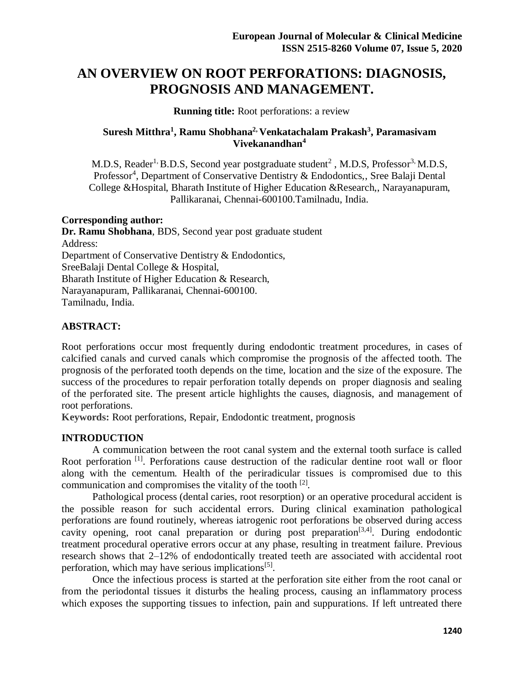# **AN OVERVIEW ON ROOT PERFORATIONS: DIAGNOSIS, PROGNOSIS AND MANAGEMENT.**

**Running title:** Root perforations: a review

## **Suresh Mitthra<sup>1</sup> , Ramu Shobhana2, Venkatachalam Prakash<sup>3</sup> , Paramasivam Vivekanandhan<sup>4</sup>**

M.D.S, Reader<sup>1,</sup> B.D.S, Second year postgraduate student<sup>2</sup>, M.D.S, Professor<sup>3,</sup> M.D.S, Professor<sup>4</sup>, Department of Conservative Dentistry & Endodontics,, Sree Balaji Dental College &Hospital, Bharath Institute of Higher Education &Research,, Narayanapuram, Pallikaranai, Chennai-600100.Tamilnadu, India.

### **Corresponding author:**

**Dr. Ramu Shobhana**, BDS, Second year post graduate student Address: Department of Conservative Dentistry & Endodontics, SreeBalaji Dental College & Hospital, Bharath Institute of Higher Education & Research, Narayanapuram, Pallikaranai, Chennai-600100. Tamilnadu, India.

## **ABSTRACT:**

Root perforations occur most frequently during endodontic treatment procedures, in cases of calcified canals and curved canals which compromise the prognosis of the affected tooth. The prognosis of the perforated tooth depends on the time, location and the size of the exposure. The success of the procedures to repair perforation totally depends on proper diagnosis and sealing of the perforated site. The present article highlights the causes, diagnosis, and management of root perforations.

**Keywords:** Root perforations, Repair, Endodontic treatment, prognosis

## **INTRODUCTION**

A communication between the root canal system and the external tooth surface is called Root perforation<sup>[1]</sup>. Perforations cause destruction of the radicular dentine root wall or floor along with the cementum. Health of the periradicular tissues is compromised due to this communication and compromises the vitality of the tooth  $^{[2]}$ .

Pathological process (dental caries, root resorption) or an operative procedural accident is the possible reason for such accidental errors. During clinical examination pathological perforations are found routinely, whereas iatrogenic root perforations be observed during access cavity opening, root canal preparation or during post preparation<sup>[3,4]</sup>. During endodontic treatment procedural operative errors occur at any phase, resulting in treatment failure. Previous research shows that 2–12% of endodontically treated teeth are associated with accidental root perforation, which may have serious implications<sup>[5]</sup>.

Once the infectious process is started at the perforation site either from the root canal or from the periodontal tissues it disturbs the healing process, causing an inflammatory process which exposes the supporting tissues to infection, pain and suppurations. If left untreated there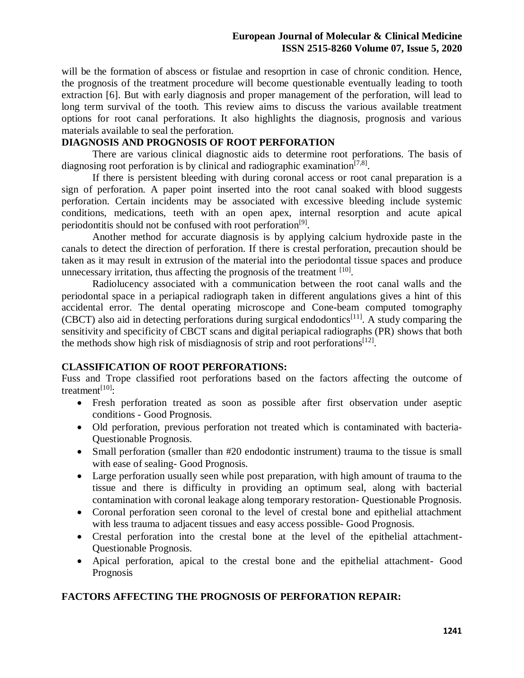will be the formation of abscess or fistulae and resoprtion in case of chronic condition. Hence, the prognosis of the treatment procedure will become questionable eventually leading to tooth extraction [6]. But with early diagnosis and proper management of the perforation, will lead to long term survival of the tooth. This review aims to discuss the various available treatment options for root canal perforations. It also highlights the diagnosis, prognosis and various materials available to seal the perforation.

## **DIAGNOSIS AND PROGNOSIS OF ROOT PERFORATION**

There are various clinical diagnostic aids to determine root perforations. The basis of diagnosing root perforation is by clinical and radiographic examination<sup>[7,8]</sup>.

If there is persistent bleeding with during coronal access or root canal preparation is a sign of perforation. A paper point inserted into the root canal soaked with blood suggests perforation. Certain incidents may be associated with excessive bleeding include systemic conditions, medications, teeth with an open apex, internal resorption and acute apical periodontitis should not be confused with root perforation<sup>[9]</sup>.

Another method for accurate diagnosis is by applying calcium hydroxide paste in the canals to detect the direction of perforation. If there is crestal perforation, precaution should be taken as it may result in extrusion of the material into the periodontal tissue spaces and produce unnecessary irritation, thus affecting the prognosis of the treatment  $[10]$ .

Radiolucency associated with a communication between the root canal walls and the periodontal space in a periapical radiograph taken in different angulations gives a hint of this accidental error. The dental operating microscope and Cone-beam computed tomography (CBCT) also aid in detecting perforations during surgical endodontics<sup>[11]</sup>. A study comparing the sensitivity and specificity of CBCT scans and digital periapical radiographs (PR) shows that both the methods show high risk of misdiagnosis of strip and root perforations<sup>[12]</sup>.

## **CLASSIFICATION OF ROOT PERFORATIONS:**

Fuss and Trope classified root perforations based on the factors affecting the outcome of treatment $^{[10]}$ :

- Fresh perforation treated as soon as possible after first observation under aseptic conditions - Good Prognosis.
- Old perforation, previous perforation not treated which is contaminated with bacteria-Questionable Prognosis.
- Small perforation (smaller than #20 endodontic instrument) trauma to the tissue is small with ease of sealing- Good Prognosis.
- Large perforation usually seen while post preparation, with high amount of trauma to the tissue and there is difficulty in providing an optimum seal, along with bacterial contamination with coronal leakage along temporary restoration- Questionable Prognosis.
- Coronal perforation seen coronal to the level of crestal bone and epithelial attachment with less trauma to adjacent tissues and easy access possible- Good Prognosis.
- Crestal perforation into the crestal bone at the level of the epithelial attachment-Questionable Prognosis.
- Apical perforation, apical to the crestal bone and the epithelial attachment- Good Prognosis

### **FACTORS AFFECTING THE PROGNOSIS OF PERFORATION REPAIR:**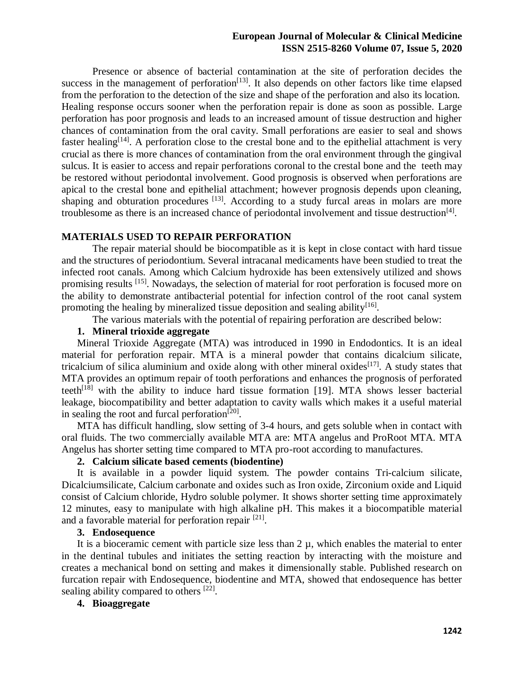#### **European Journal of Molecular & Clinical Medicine ISSN 2515-8260 Volume 07, Issue 5, 2020**

Presence or absence of bacterial contamination at the site of perforation decides the success in the management of perforation $[13]$ . It also depends on other factors like time elapsed from the perforation to the detection of the size and shape of the perforation and also its location. Healing response occurs sooner when the perforation repair is done as soon as possible. Large perforation has poor prognosis and leads to an increased amount of tissue destruction and higher chances of contamination from the oral cavity. Small perforations are easier to seal and shows faster healing<sup>[14]</sup>. A perforation close to the crestal bone and to the epithelial attachment is very crucial as there is more chances of contamination from the oral environment through the gingival sulcus. It is easier to access and repair perforations coronal to the crestal bone and the teeth may be restored without periodontal involvement. Good prognosis is observed when perforations are apical to the crestal bone and epithelial attachment; however prognosis depends upon cleaning, shaping and obturation procedures  $[13]$ . According to a study furcal areas in molars are more troublesome as there is an increased chance of periodontal involvement and tissue destruction<sup>[4]</sup>.

#### **MATERIALS USED TO REPAIR PERFORATION**

The repair material should be biocompatible as it is kept in close contact with hard tissue and the structures of periodontium. Several intracanal medicaments have been studied to treat the infected root canals. Among which Calcium hydroxide has been extensively utilized and shows promising results <sup>[15]</sup>. Nowadays, the selection of material for root perforation is focused more on the ability to demonstrate antibacterial potential for infection control of the root canal system promoting the healing by mineralized tissue deposition and sealing ability<sup>[16]</sup>.

The various materials with the potential of repairing perforation are described below:

#### **1. Mineral trioxide aggregate**

Mineral Trioxide Aggregate (MTA) was introduced in 1990 in Endodontics. It is an ideal material for perforation repair. MTA is a mineral powder that contains dicalcium silicate, tricalcium of silica aluminium and oxide along with other mineral oxides<sup>[17]</sup>. A study states that MTA provides an optimum repair of tooth perforations and enhances the prognosis of perforated teeth<sup>[18]</sup> with the ability to induce hard tissue formation [19]. MTA shows lesser bacterial leakage, biocompatibility and better adaptation to cavity walls which makes it a useful material in sealing the root and furcal perforation $[20]$ .

MTA has difficult handling, slow setting of 3-4 hours, and gets soluble when in contact with oral fluids. The two commercially available MTA are: MTA angelus and ProRoot MTA. MTA Angelus has shorter setting time compared to MTA pro-root according to manufactures.

#### **2. Calcium silicate based cements (biodentine)**

It is available in a powder liquid system. The powder contains Tri-calcium silicate, Dicalciumsilicate, Calcium carbonate and oxides such as Iron oxide, Zirconium oxide and Liquid consist of Calcium chloride, Hydro soluble polymer. It shows shorter setting time approximately 12 minutes, easy to manipulate with high alkaline pH. This makes it a biocompatible material and a favorable material for perforation repair [21].

#### **3. Endosequence**

It is a bioceramic cement with particle size less than  $2 \mu$ , which enables the material to enter in the dentinal tubules and initiates the setting reaction by interacting with the moisture and creates a mechanical bond on setting and makes it dimensionally stable. Published research on furcation repair with Endosequence, biodentine and MTA, showed that endosequence has better sealing ability compared to others [22].

## **4. Bioaggregate**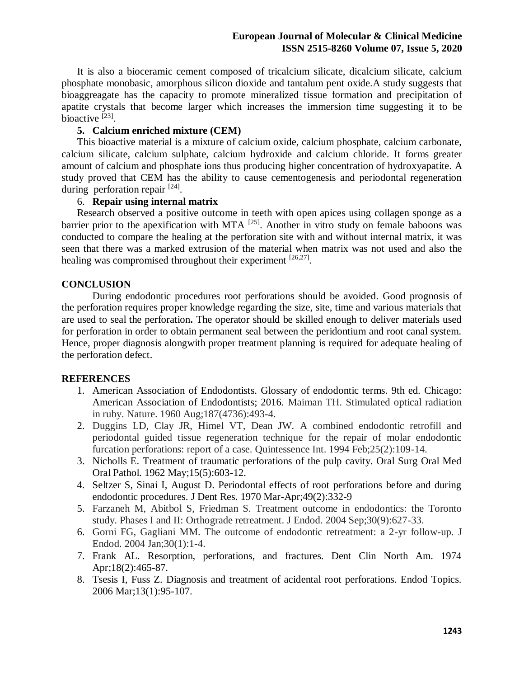It is also a bioceramic cement composed of tricalcium silicate, dicalcium silicate, calcium phosphate monobasic, amorphous silicon dioxide and tantalum pent oxide.A study suggests that bioaggreagate has the capacity to promote mineralized tissue formation and precipitation of apatite crystals that become larger which increases the immersion time suggesting it to be bioactive [23].

#### **5. Calcium enriched mixture (CEM)**

This bioactive material is a mixture of calcium oxide, calcium phosphate, calcium carbonate, calcium silicate, calcium sulphate, calcium hydroxide and calcium chloride. It forms greater amount of calcium and phosphate ions thus producing higher concentration of hydroxyapatite. A study proved that CEM has the ability to cause cementogenesis and periodontal regeneration during perforation repair  $[24]$ .

#### 6. **Repair using internal matrix**

Research observed a positive outcome in teeth with open apices using collagen sponge as a barrier prior to the apexification with MTA  $^{[25]}$ . Another in vitro study on female baboons was conducted to compare the healing at the perforation site with and without internal matrix, it was seen that there was a marked extrusion of the material when matrix was not used and also the healing was compromised throughout their experiment [26,27].

## **CONCLUSION**

During endodontic procedures root perforations should be avoided. Good prognosis of the perforation requires proper knowledge regarding the size, site, time and various materials that are used to seal the perforation**.** The operator should be skilled enough to deliver materials used for perforation in order to obtain permanent seal between the peridontium and root canal system. Hence, proper diagnosis alongwith proper treatment planning is required for adequate healing of the perforation defect.

### **REFERENCES**

- 1. American Association of Endodontists. Glossary of endodontic terms. 9th ed. Chicago: American Association of Endodontists; 2016. Maiman TH. Stimulated optical radiation in ruby. Nature. 1960 Aug;187(4736):493-4.
- 2. Duggins LD, Clay JR, Himel VT, Dean JW. A combined endodontic retrofill and periodontal guided tissue regeneration technique for the repair of molar endodontic furcation perforations: report of a case. Quintessence Int. 1994 Feb;25(2):109-14.
- 3. Nicholls E. Treatment of traumatic perforations of the pulp cavity. Oral Surg Oral Med Oral Pathol. 1962 May;15(5):603-12.
- 4. Seltzer S, Sinai I, August D. Periodontal effects of root perforations before and during endodontic procedures. J Dent Res. 1970 Mar-Apr;49(2):332-9
- 5. Farzaneh M, Abitbol S, Friedman S. Treatment outcome in endodontics: the Toronto study. Phases I and II: Orthograde retreatment. J Endod. 2004 Sep;30(9):627-33.
- 6. Gorni FG, Gagliani MM. The outcome of endodontic retreatment: a 2-yr follow-up. J Endod. 2004 Jan;30(1):1-4.
- 7. Frank AL. Resorption, perforations, and fractures. Dent Clin North Am. 1974 Apr;18(2):465-87.
- 8. Tsesis I, Fuss Z. Diagnosis and treatment of acidental root perforations. Endod Topics. 2006 Mar;13(1):95-107.